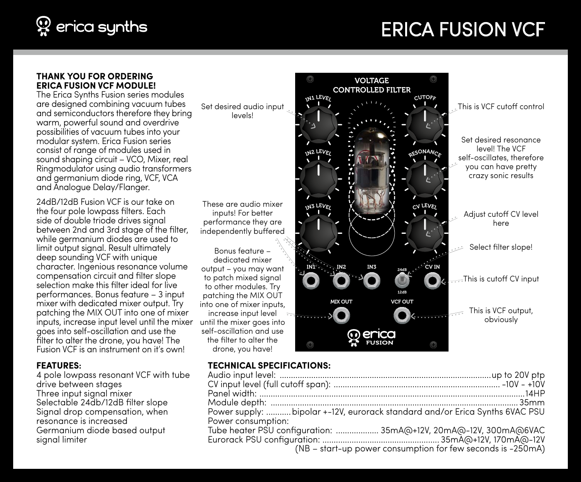

## Erica Fusion VCF

#### **Thank you for ordering Erica Fusion VCF module!**

The Erica Synths Fusion series modules are designed combining vacuum tubes and semiconductors therefore they bring warm, powerful sound and overdrive possibilities of vacuum tubes into your modular system. Erica Fusion series consist of range of modules used in sound shaping circuit – VCO, Mixer, real Ringmodulator using audio transformers and germanium diode ring, VCF, VCA and Analogue Delay/Flanger.

24dB/12dB Fusion VCF is our take on the four pole lowpass filters. Each side of double triode drives signal between 2nd and 3rd stage of the filter, while germanium diodes are used to limit output signal. Result ultimately deep sounding VCF with unique character. Ingenious resonance volume compensation circuit and filter slope selection make this filter ideal for live performances. Bonus feature – 3 input mixer with dedicated mixer output. Try patching the MIX OUT into one of mixer inputs, increase input level until the mixer goes into self-oscillation and use the filter to alter the drone, you have! The Fusion VCF is an instrument on it's own!

#### **FEATURES:**

4 pole lowpass resonant VCF with tube drive between stages Three input signal mixer Selectable 24db/12dB filter slope Signal drop compensation, when resonance is increased Germanium diode based output signal limiter

Set desired audio input levels!

These are audio mixer inputs! For better performance they are independently buffered

Bonus feature – dedicated mixer output – you may want to patch mixed signal to other modules. Try patching the MIX OUT into one of mixer inputs, increase input level until the mixer goes into self-oscillation and use the filter to alter the drone, you have!



#### **TECHNICAL SPECIFICATIONS:**

| Power supply:  bipolar +-12V, eurorack standard and/or Erica Synths 6VAC PSU |  |
|------------------------------------------------------------------------------|--|
| Power consumption:                                                           |  |
| Tube heater PSU configuration:  35mA@+12V, 20mA@-12V, 300mA@6VAC             |  |
|                                                                              |  |
| (NB - start-up power consumption for few seconds is -250mA)                  |  |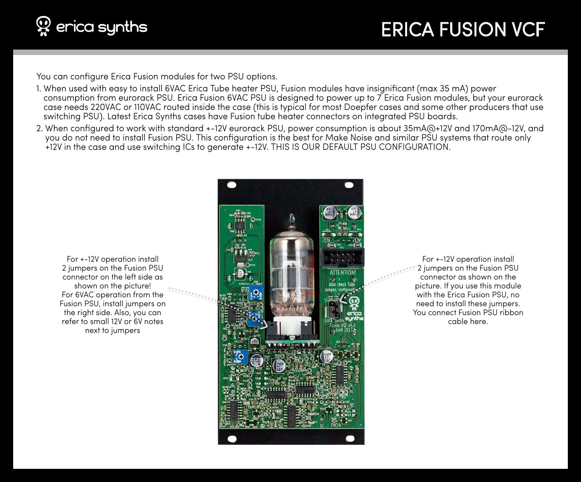# $\mathfrak P$  erica synths

## Erica Fusion VCF

You can configure Erica Fusion modules for two PSU options.

- 1. When used with easy to install 6VAC Erica Tube heater PSU, Fusion modules have insignificant (max 35 mA) power consumption from eurorack PSU. Erica Fusion 6VAC PSU is designed to power up to 7 Erica Fusion modules, but your eurorack case needs 220VAC or 110VAC routed inside the case (this is typical for most Doepfer cases and some other producers that use switching PSU). Latest Erica Synths cases have Fusion tube heater connectors on integrated PSU boards.
- 2. When configured to work with standard +-12V eurorack PSU, power consumption is about 35mA@+12V and 170mA@-12V, and you do not need to install Fusion PSU. This configuration is the best for Make Noise and similar PSU systems that route only +12V in the case and use switching ICs to generate +-12V. THIS IS OUR DEFAULT PSU CONFIGURATION.

For +-12V operation install 2 jumpers on the Fusion PSU connector on the left side as shown on the picture! For 6VAC operation from the Fusion PSU, install jumpers on the right side. Also, you can refer to small 12V or 6V notes next to jumpers



For +-12V operation install 2 jumpers on the Fusion PSU connector as shown on the picture. If you use this module with the Erica Fusion PSU, no need to install these jumpers. You connect Fusion PSU ribbon cable here.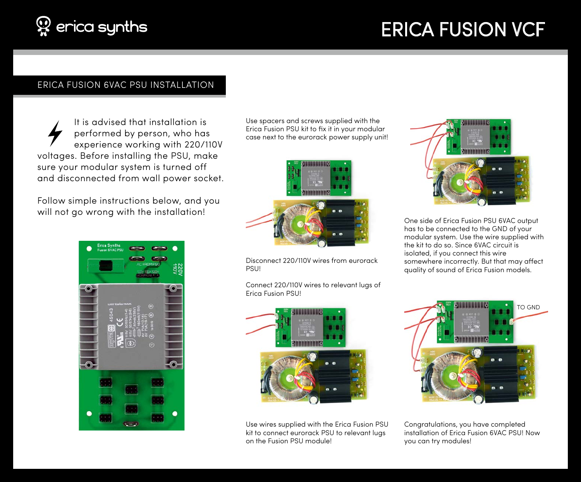# Erica Fusion VCF

### ERICA FUSION 6VAC PSU INSTALLATION

It is advised that installation is performed by person, who has experience working with 220/110V voltages. Before installing the PSU, make sure your modular system is turned off and disconnected from wall power socket.

Follow simple instructions below, and you will not go wrong with the installation!



Use spacers and screws supplied with the Erica Fusion PSU kit to fix it in your modular case next to the eurorack power supply unit!



Disconnect 220/110V wires from eurorack **PSU!** 

Connect 220/110V wires to relevant lugs of Erica Fusion PSU!



Use wires supplied with the Erica Fusion PSU kit to connect eurorack PSU to relevant lugs on the Fusion PSU module!



One side of Erica Fusion PSU 6VAC output has to be connected to the GND of your modular system. Use the wire supplied with the kit to do so. Since 6VAC circuit is isolated, if you connect this wire somewhere incorrectly. But that may affect quality of sound of Erica Fusion models.



Congratulations, you have completed installation of Erica Fusion 6VAC PSU! Now you can try modules!